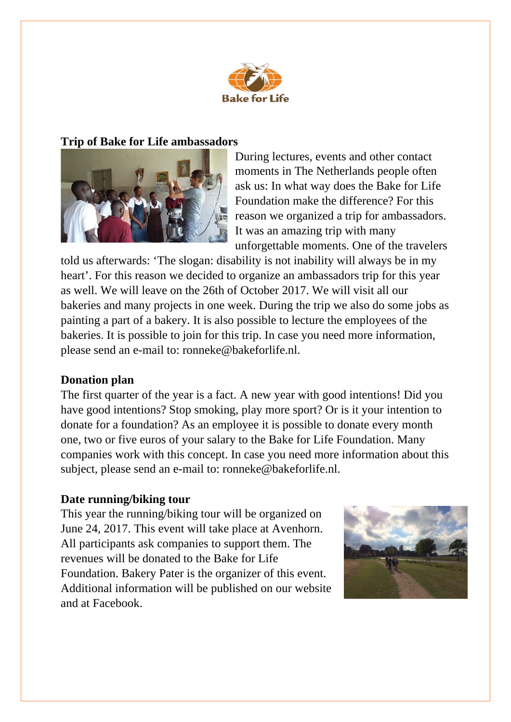

# **Trip of Bake for Life ambassadors**



During lectures, events and other contact moments in The Netherlands people often ask us: In what way does the Bake for Life Foundation make the difference? For this reason we organized a trip for ambassadors. It was an amazing trip with many unforgettable moments. One of the travelers

told us afterwards: 'The slogan: disability is not inability will always be in my heart'. For this reason we decided to organize an ambassadors trip for this year as well. We will leave on the 26th of October 2017. We will visit all our bakeries and many projects in one week. During the trip we also do some jobs as painting a part of a bakery. It is also possible to lecture the employees of the bakeries. It is possible to join for this trip. In case you need more information, please send an e-mail to: ronneke@bakeforlife.nl.

# **Donation plan**

The first quarter of the year is a fact. A new year with good intentions! Did you have good intentions? Stop smoking, play more sport? Or is it your intention to donate for a foundation? As an employee it is possible to donate every month one, two or five euros of your salary to the Bake for Life Foundation. Many companies work with this concept. In case you need more information about this subject, please send an e-mail to: ronneke@bakeforlife.nl.

### **Date running/biking tour**

This year the running/biking tour will be organized on June 24, 2017. This event will take place at Avenhorn. All participants ask companies to support them. The revenues will be donated to the Bake for Life Foundation. Bakery Pater is the organizer of this event. Additional information will be published on our website and at Facebook.